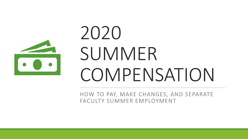

# 2020 SUMMER COMPENSATION

HOW TO PAY, MAKE CHANGES, AND SEPARATE FACULTY SUMMER EMPLOYMENT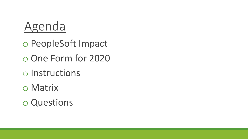

o PeopleSoft Impact o One Form for 2020 o Instructions o Matrix

o Questions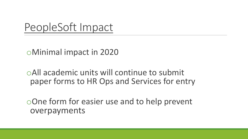#### PeopleSoft Impact

oMinimal impact in 2020

oAll academic units will continue to submit paper forms to HR Ops and Services for entry

oOne form for easier use and to help prevent overpayments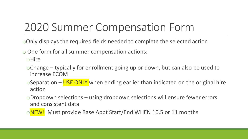# 2020 Summer Compensation Form

- oOnly displays the required fields needed to complete the selected action
- o One form for all summer compensation actions:

oHire

- oChange typically for enrollment going up or down, but can also be used to increase ECOM
- $\circ$ Separation USE ONLY when ending earlier than indicated on the original hire action
- oDropdown selections using dropdown selections will ensure fewer errors and consistent data
- oNEW! Must provide Base Appt Start/End WHEN 10.5 or 11 months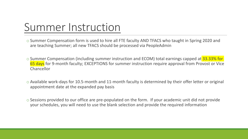#### Summer Instruction

- o Summer Compensation form is used to hire all FTE faculty AND TFACS who taught in Spring 2020 and are teaching Summer; all new TFACS should be processed via PeopleAdmin
- o Summer Compensation (including summer instruction and ECOM) total earnings capped at 33.33% for 65 days for 9-month faculty; EXCEPTIONS for summer instruction require approval from Provost or Vice Chancellor
- o Available work-days for 10.5-month and 11-month faculty is determined by their offer letter or original appointment date at the expanded pay basis
- $\circ$  Sessions provided to our office are pre-populated on the form. If your academic unit did not provide your schedules, you will need to use the blank selection and provide the required information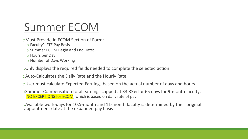## Summer ECOM

- oMust Provide in ECOM Section of Form:
	- o Faculty's FTE Pay Basis
	- o Summer ECOM Begin and End Dates
	- o Hours per Day
	- o Number of Days Working

oOnly displays the required fields needed to complete the selected action

oAuto-Calculates the Daily Rate and the Hourly Rate

oUser must calculate Expected Earnings based on the actual number of days and hours

oSummer Compensation total earnings capped at 33.33% for 65 days for 9-month faculty; NO EXCEPTIONS for ECOM, which is based on daily rate of pay

oAvailable work-days for 10.5-month and 11-month faculty is determined by their original appointment date at the expanded pay basis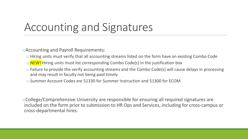### Accounting and Signatures

oAccounting and Payroll Requirements:

- o Hiring units must verify that all accounting streams listed on the form have an existing Combo Code
- $\circ$  NEW! Hiring units must list corresponding Combo Code(s) in the justification box
- o Failure to provide the verify accounting streams and the Combo Code(s) will cause delays in processing and may result in faculty not being paid timely
- o Summer Account Codes are 51330 for Summer Instruction and 51300 for ECOM

oCollege/Comprehensive University are responsible for ensuring all required signatures are included on the form prior to submission to HR Ops and Services, including for cross-campus or cross-departmental hires.